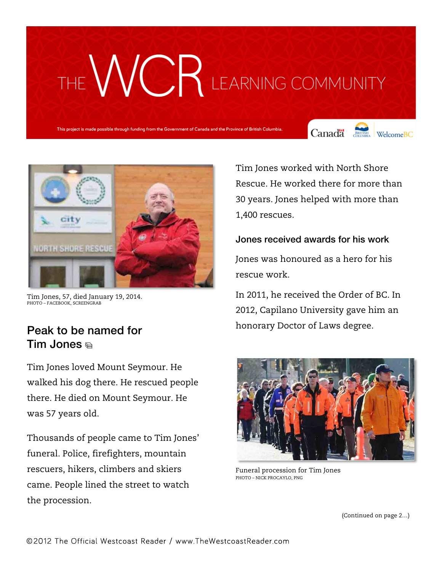# THE WCR LEARNING COMMUNITY

This project is made possible through funding from the Government of Canada and the Province of British Columbia.





Tim Jones, 57, died January 19, 2014. PHOTO – FACEBOOK, SCREENGRAB

### Peak to be named for Tim Jones

Tim Jones loved Mount Seymour. He walked his dog there. He rescued people there. He died on Mount Seymour. He was 57 years old.

Thousands of people came to Tim Jones' funeral. Police, firefighters, mountain rescuers, hikers, climbers and skiers came. People lined the street to watch the procession.

Tim Jones worked with North Shore Rescue. He worked there for more than 30 years. Jones helped with more than 1,400 rescues.

### Jones received awards for his work

Jones was honoured as a hero for his rescue work.

In 2011, he received the Order of BC. In 2012, Capilano University gave him an honorary Doctor of Laws degree.



Funeral procession for Tim Jones PHOTO – NICK PROCAYLO, PNG

(Continued on page 2…)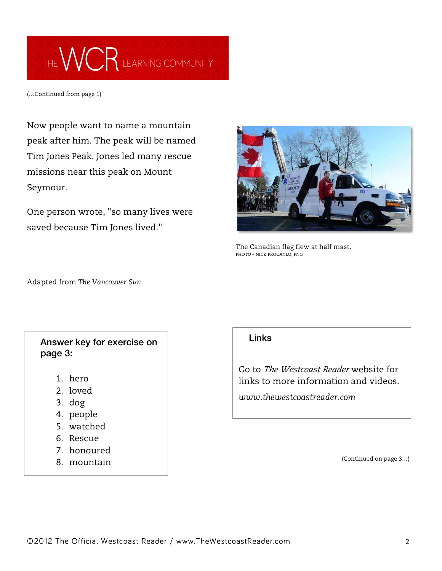## THE WCR LEARNING COMMUNITY

(…Continued from page 1)

Now people want to name a mountain peak after him. The peak will be named Tim Jones Peak. Jones led many rescue missions near this peak on Mount Seymour.

One person wrote, "so many lives were saved because Tim Jones lived."



The Canadian flag flew at half mast. PHOTO – NICK PROCAYLO, PNG

Adapted from *The Vancouver Sun*

### Answer key for exercise on page 3:

- 1. hero
- 2. loved
- 3. dog
- 4. people
- 5. watched
- 6. Rescue
- 7. honoured
- 8. mountain

#### **Links**

Go to *The Westcoast Reader* website for links to more information and videos.

*www.thewestcoastreader.com*

(Continued on page 3…)